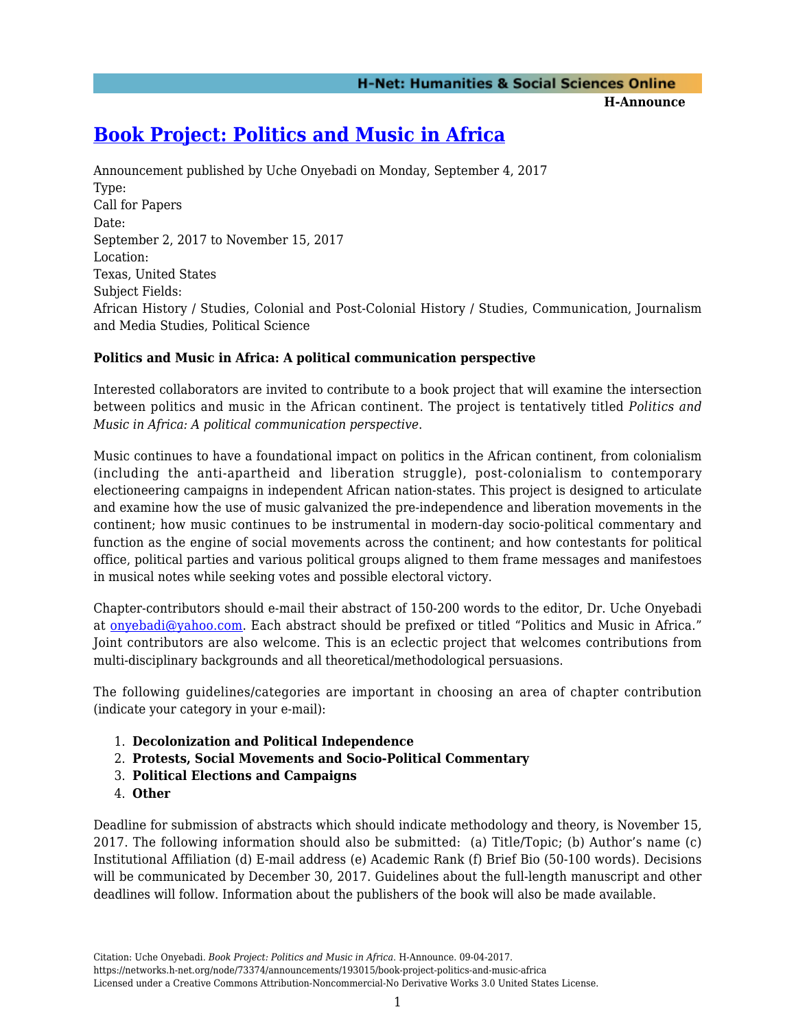**H-Announce** 

## **[Book Project: Politics and Music in Africa](https://networks.h-net.org/node/73374/announcements/193015/book-project-politics-and-music-africa)**

Announcement published by Uche Onyebadi on Monday, September 4, 2017 Type: Call for Papers Date: September 2, 2017 to November 15, 2017 Location: Texas, United States Subject Fields: African History / Studies, Colonial and Post-Colonial History / Studies, Communication, Journalism and Media Studies, Political Science

## **Politics and Music in Africa: A political communication perspective**

Interested collaborators are invited to contribute to a book project that will examine the intersection between politics and music in the African continent. The project is tentatively titled *Politics and Music in Africa: A political communication perspective*.

Music continues to have a foundational impact on politics in the African continent, from colonialism (including the anti-apartheid and liberation struggle), post-colonialism to contemporary electioneering campaigns in independent African nation-states. This project is designed to articulate and examine how the use of music galvanized the pre-independence and liberation movements in the continent; how music continues to be instrumental in modern-day socio-political commentary and function as the engine of social movements across the continent; and how contestants for political office, political parties and various political groups aligned to them frame messages and manifestoes in musical notes while seeking votes and possible electoral victory.

Chapter-contributors should e-mail their abstract of 150-200 words to the editor, Dr. Uche Onyebadi at [onyebadi@yahoo.com.](mailto:onyebadi@yahoo.com) Each abstract should be prefixed or titled "Politics and Music in Africa." Joint contributors are also welcome. This is an eclectic project that welcomes contributions from multi-disciplinary backgrounds and all theoretical/methodological persuasions.

The following guidelines/categories are important in choosing an area of chapter contribution (indicate your category in your e-mail):

- 1. **Decolonization and Political Independence**
- 2. **Protests, Social Movements and Socio-Political Commentary**
- 3. **Political Elections and Campaigns**
- 4. **Other**

Deadline for submission of abstracts which should indicate methodology and theory, is November 15, 2017. The following information should also be submitted: (a) Title/Topic; (b) Author's name (c) Institutional Affiliation (d) E-mail address (e) Academic Rank (f) Brief Bio (50-100 words). Decisions will be communicated by December 30, 2017. Guidelines about the full-length manuscript and other deadlines will follow. Information about the publishers of the book will also be made available.